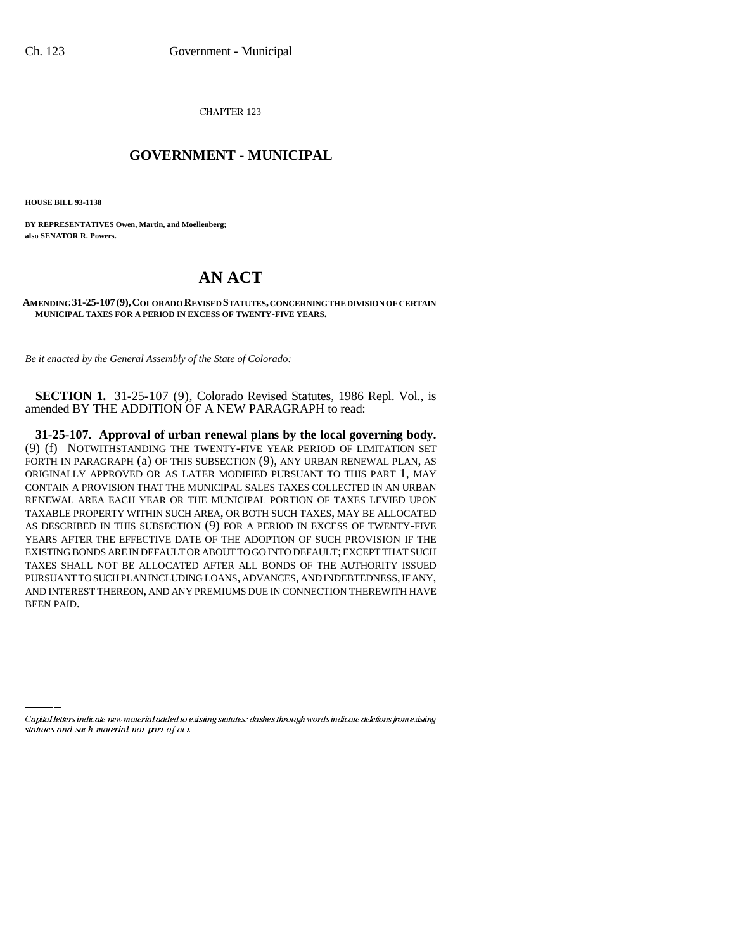CHAPTER 123

## \_\_\_\_\_\_\_\_\_\_\_\_\_\_\_ **GOVERNMENT - MUNICIPAL** \_\_\_\_\_\_\_\_\_\_\_\_\_\_\_

**HOUSE BILL 93-1138**

**BY REPRESENTATIVES Owen, Martin, and Moellenberg; also SENATOR R. Powers.**

## **AN ACT**

## **AMENDING 31-25-107(9),COLORADO REVISED STATUTES, CONCERNING THE DIVISION OF CERTAIN MUNICIPAL TAXES FOR A PERIOD IN EXCESS OF TWENTY-FIVE YEARS.**

*Be it enacted by the General Assembly of the State of Colorado:*

**SECTION 1.** 31-25-107 (9), Colorado Revised Statutes, 1986 Repl. Vol., is amended BY THE ADDITION OF A NEW PARAGRAPH to read:

**31-25-107. Approval of urban renewal plans by the local governing body.** (9) (f) NOTWITHSTANDING THE TWENTY-FIVE YEAR PERIOD OF LIMITATION SET FORTH IN PARAGRAPH (a) OF THIS SUBSECTION (9), ANY URBAN RENEWAL PLAN, AS ORIGINALLY APPROVED OR AS LATER MODIFIED PURSUANT TO THIS PART 1, MAY CONTAIN A PROVISION THAT THE MUNICIPAL SALES TAXES COLLECTED IN AN URBAN RENEWAL AREA EACH YEAR OR THE MUNICIPAL PORTION OF TAXES LEVIED UPON TAXABLE PROPERTY WITHIN SUCH AREA, OR BOTH SUCH TAXES, MAY BE ALLOCATED AS DESCRIBED IN THIS SUBSECTION (9) FOR A PERIOD IN EXCESS OF TWENTY-FIVE YEARS AFTER THE EFFECTIVE DATE OF THE ADOPTION OF SUCH PROVISION IF THE EXISTING BONDS ARE IN DEFAULT OR ABOUT TO GO INTO DEFAULT; EXCEPT THAT SUCH TAXES SHALL NOT BE ALLOCATED AFTER ALL BONDS OF THE AUTHORITY ISSUED PURSUANT TO SUCH PLAN INCLUDING LOANS, ADVANCES, AND INDEBTEDNESS, IF ANY, AND INTEREST THEREON, AND ANY PREMIUMS DUE IN CONNECTION THEREWITH HAVE BEEN PAID.

Capital letters indicate new material added to existing statutes; dashes through words indicate deletions from existing statutes and such material not part of act.